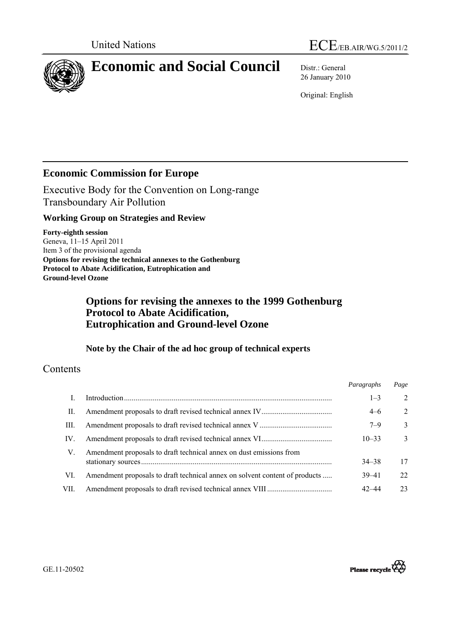



# **Economic and Social Council** Distr.: General

26 January 2010

Original: English

# **Economic Commission for Europe**

Executive Body for the Convention on Long-range Transboundary Air Pollution

# **Working Group on Strategies and Review**

**Forty-eighth session**  Geneva, 11–15 April 2011 Item 3 of the provisional agenda **Options for revising the technical annexes to the Gothenburg Protocol to Abate Acidification, Eutrophication and Ground-level Ozone** 

# **Options for revising the annexes to the 1999 Gothenburg Protocol to Abate Acidification, Eutrophication and Ground-level Ozone**

# **Note by the Chair of the ad hoc group of technical experts**

# Contents

|      |                                                                             | Paragraphs | Page           |
|------|-----------------------------------------------------------------------------|------------|----------------|
|      |                                                                             | $1 - 3$    | 2              |
| П.   |                                                                             | $4 - 6$    | $\overline{2}$ |
| Ш.   |                                                                             | $7 - 9$    | $\mathcal{E}$  |
| IV.  |                                                                             | $10 - 33$  | $\mathcal{F}$  |
| V.   | Amendment proposals to draft technical annex on dust emissions from         | $34 - 38$  | 17             |
| VI.  | Amendment proposals to draft technical annex on solvent content of products | $39 - 41$  | 22             |
| VII. |                                                                             | 42–44      | 23             |

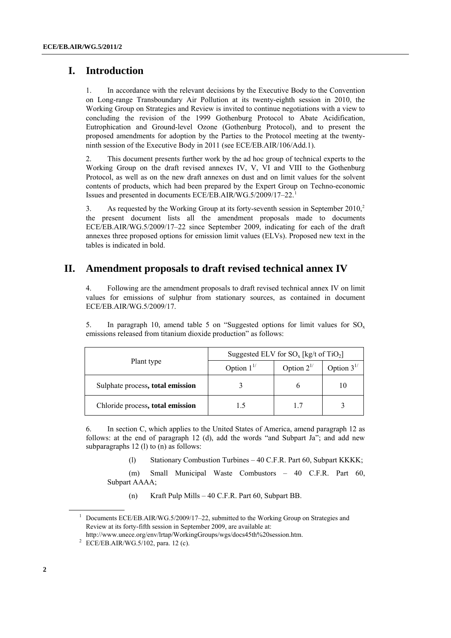# <span id="page-1-0"></span> **I. Introduction**

1. In accordance with the relevant decisions by the Executive Body to the Convention on Long-range Transboundary Air Pollution at its twenty-eighth session in 2010, the Working Group on Strategies and Review is invited to continue negotiations with a view to concluding the revision of the 1999 Gothenburg Protocol to Abate Acidification, Eutrophication and Ground-level Ozone (Gothenburg Protocol), and to present the proposed amendments for adoption by the Parties to the Protocol meeting at the twentyninth session of the Executive Body in 2011 (see ECE/EB.AIR/106/Add.1).

<span id="page-1-1"></span>2. This document presents further work by the ad hoc group of technical experts to the Working Group on the draft revised annexes IV, V, VI and VIII to the Gothenburg Protocol, as well as on the new draft annexes on dust and on limit values for the solvent contents of products, which had been prepared by the Expert Group on Techno-economic Issues and presented in documents ECE/EB.AIR/WG.5/2009/17–22.[1](#page-1-0)

3. As requested by the Working Group at its forty-seventh session in September 2010,<sup>2</sup> the present document lists all the amendment proposals made to documents ECE/EB.AIR/WG.5/2009/17–22 since September 2009, indicating for each of the draft annexes three proposed options for emission limit values (ELVs). Proposed new text in the tables is indicated in bold.

### **II. Amendment proposals to draft revised technical annex IV**

4. Following are the amendment proposals to draft revised technical annex IV on limit values for emissions of sulphur from stationary sources, as contained in document ECE/EB.AIR/WG.5/2009/17.

5. In paragraph 10, amend table 5 on "Suggested options for limit values for  $SO_x$ emissions released from titanium dioxide production" as follows:

|                                  | Suggested ELV for $SO_x$ [kg/t of TiO <sub>2</sub> ] |                  |                  |  |
|----------------------------------|------------------------------------------------------|------------------|------------------|--|
| Plant type                       | Option $1^{1/2}$                                     | Option $2^{1/2}$ | Option $3^{1/2}$ |  |
| Sulphate process, total emission |                                                      |                  |                  |  |
| Chloride process, total emission |                                                      |                  |                  |  |

6. In section C, which applies to the United States of America, amend paragraph 12 as follows: at the end of paragraph 12 (d), add the words "and Subpart Ja"; and add new subparagraphs 12 (l) to (n) as follows:

(l) Stationary Combustion Turbines – 40 C.F.R. Part 60, Subpart KKKK;

 (m) Small Municipal Waste Combustors – 40 C.F.R. Part 60, Subpart AAAA;

(n) Kraft Pulp Mills – 40 C.F.R. Part 60, Subpart BB.

<sup>&</sup>lt;sup>1</sup> Documents ECE/EB.AIR/WG.5/2009/17-22, submitted to the Working Group on Strategies and Review at its forty-fifth session in September 2009, are available at:

<http://www.unece.org/env/lrtap/WorkingGroups/wgs/docs45th%20session.htm>. 2 <sup>2</sup> ECE/EB.AIR/WG.5/102, para. 12 (c).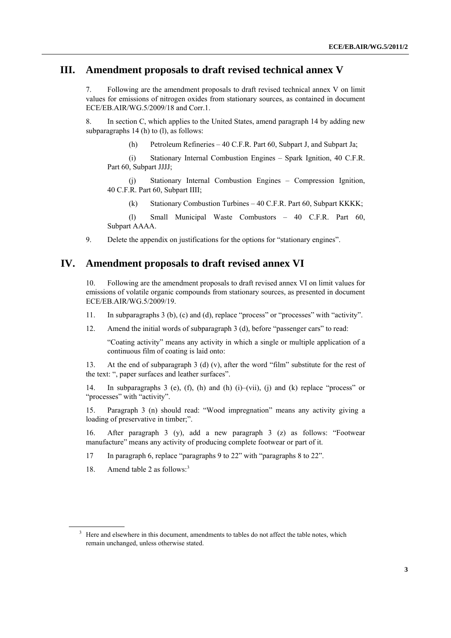### **III. Amendment proposals to draft revised technical annex V**

7. Following are the amendment proposals to draft revised technical annex V on limit values for emissions of nitrogen oxides from stationary sources, as contained in document ECE/EB.AIR/WG.5/2009/18 and Corr.1.

<span id="page-2-0"></span>8. In section C, which applies to the United States, amend paragraph 14 by adding new subparagraphs 14 (h) to (l), as follows:

(h) Petroleum Refineries – 40 C.F.R. Part 60, Subpart J, and Subpart Ja;

 (i) Stationary Internal Combustion Engines – Spark Ignition, 40 C.F.R. Part 60, Subpart JJJJ;

 (j) Stationary Internal Combustion Engines – Compression Ignition, 40 C.F.R. Part 60, Subpart IIII;

(k) Stationary Combustion Turbines – 40 C.F.R. Part 60, Subpart KKKK;

 (l) Small Municipal Waste Combustors – 40 C.F.R. Part 60, Subpart AAAA.

9. Delete the appendix on justifications for the options for "stationary engines".

## **IV. Amendment proposals to draft revised annex VI**

10. Following are the amendment proposals to draft revised annex VI on limit values for emissions of volatile organic compounds from stationary sources, as presented in document ECE/EB.AIR/WG.5/2009/19.

- 11. In subparagraphs 3 (b), (c) and (d), replace "process" or "processes" with "activity".
- 12. Amend the initial words of subparagraph 3 (d), before "passenger cars" to read:

"Coating activity" means any activity in which a single or multiple application of a continuous film of coating is laid onto:

13. At the end of subparagraph 3 (d) (v), after the word "film" substitute for the rest of the text: ", paper surfaces and leather surfaces".

14. In subparagraphs 3 (e), (f), (h) and (h) (i)–(vii), (j) and (k) replace "process" or "processes" with "activity".

15. Paragraph 3 (n) should read: "Wood impregnation" means any activity giving a loading of preservative in timber;".

16. After paragraph 3 (y), add a new paragraph 3 (z) as follows: "Footwear manufacture" means any activity of producing complete footwear or part of it.

17 In paragraph 6, replace "paragraphs 9 to 22" with "paragraphs 8 to 22".

18. Amend table 2 as follows:<sup>[3](#page-2-0)</sup>

<sup>3</sup> Here and elsewhere in this document, amendments to tables do not affect the table notes, which remain unchanged, unless otherwise stated.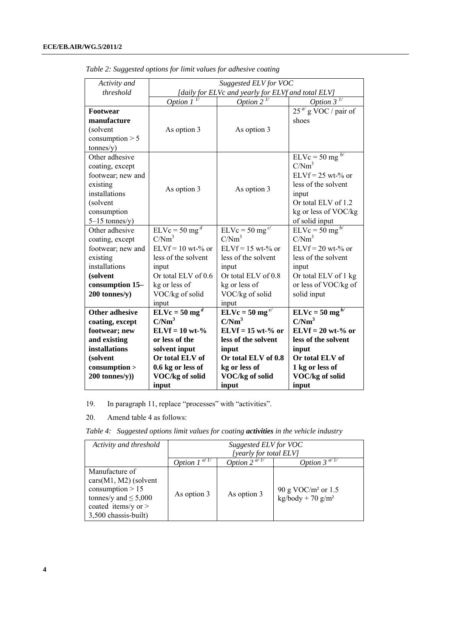| Activity and            |                                                    | Suggested ELV for VOC       |                              |  |  |  |
|-------------------------|----------------------------------------------------|-----------------------------|------------------------------|--|--|--|
| threshold               | [daily for ELVc and yearly for ELVf and total ELV] |                             |                              |  |  |  |
|                         | Option 1                                           | Option 2                    | Option 3                     |  |  |  |
| Footwear                |                                                    |                             | $25^{a'}$ g VOC / pair of    |  |  |  |
| manufacture             |                                                    |                             | shoes                        |  |  |  |
| (solvent                | As option 3                                        | As option 3                 |                              |  |  |  |
| consumption $> 5$       |                                                    |                             |                              |  |  |  |
| tonnes/y)               |                                                    |                             |                              |  |  |  |
| Other adhesive          |                                                    |                             | $ELVc = 50$ mg <sup>b/</sup> |  |  |  |
| coating, except         |                                                    |                             | C/Nm <sup>3</sup>            |  |  |  |
| footwear; new and       |                                                    |                             | $ELVf = 25$ wt-% or          |  |  |  |
| existing                |                                                    |                             | less of the solvent          |  |  |  |
| installations           | As option 3                                        | As option 3                 | input                        |  |  |  |
| (solvent                |                                                    |                             | Or total ELV of 1.2          |  |  |  |
| consumption             |                                                    |                             | kg or less of VOC/kg         |  |  |  |
| $5-15$ tonnes/y)        |                                                    |                             | of solid input               |  |  |  |
| Other adhesive          | $ELVc = 50$ mg <sup>d</sup>                        | $ELVc = 50$ mg <sup>c</sup> | $ELVc = 50 mg^{b/2}$         |  |  |  |
| coating, except         | C/Nm <sup>3</sup>                                  | C/Nm <sup>3</sup>           | C/Nm <sup>3</sup>            |  |  |  |
| footwear; new and       | $ELVf = 10$ wt-% or                                | $ELVf = 15$ wt-% or         | $ELVf = 20$ wt-% or          |  |  |  |
| existing                | less of the solvent                                | less of the solvent         | less of the solvent          |  |  |  |
| installations           | input                                              | input                       | input                        |  |  |  |
| (solvent                | Or total ELV of 0.6                                | Or total ELV of 0.8         | Or total ELV of 1 kg         |  |  |  |
| consumption 15-         | kg or less of                                      | kg or less of               | or less of VOC/kg of         |  |  |  |
| 200 tonnes/y)           | VOC/kg of solid                                    | VOC/kg of solid             | solid input                  |  |  |  |
|                         | input                                              | input                       |                              |  |  |  |
| <b>Other adhesive</b>   | $ELVc = 50 mg^d$                                   | $ELVc = 50 mg^{c/2}$        | $ELVc = 50 \text{ mg}^{b/2}$ |  |  |  |
| coating, except         | C/Nm <sup>3</sup>                                  | C/Nm <sup>3</sup>           | C/Nm <sup>3</sup>            |  |  |  |
| footwear; new           | $ELVf = 10 wt-$ %                                  | $ELVf = 15 wt-% or$         | $ELVf = 20$ wt-% or          |  |  |  |
| and existing            | or less of the                                     | less of the solvent         | less of the solvent          |  |  |  |
| installations           | solvent input                                      | input                       | input                        |  |  |  |
| (solvent                | Or total ELV of                                    | Or total ELV of 0.8         | Or total ELV of              |  |  |  |
| consumption             | 0.6 kg or less of                                  | kg or less of               | 1 kg or less of              |  |  |  |
| $200 \text{ tonnes/y})$ | VOC/kg of solid                                    | VOC/kg of solid             | VOC/kg of solid              |  |  |  |
|                         | input                                              | input                       | input                        |  |  |  |

*Table 2: Suggested options for limit values for adhesive coating* 

19. In paragraph 11, replace "processes" with "activities".

20. Amend table 4 as follows:

*Table 4: Suggested options limit values for coating activities in the vehicle industry* 

| Activity and threshold                                                                                                                        | Suggested ELV for VOC<br>[yearly for total ELV]                              |             |                                                              |  |  |  |
|-----------------------------------------------------------------------------------------------------------------------------------------------|------------------------------------------------------------------------------|-------------|--------------------------------------------------------------|--|--|--|
|                                                                                                                                               | Option 3 <sup><math>a/T</math></sup><br>Option $2^{a/L}$<br>Option $I^{a/L}$ |             |                                                              |  |  |  |
| Manufacture of<br>$cars(M1, M2)$ (solvent<br>consumption $> 15$<br>tonnes/y and $\leq 5,000$<br>coated items/y or $>$<br>3,500 chassis-built) | As option 3                                                                  | As option 3 | 90 g VOC/ $m2$ or 1.5<br>$\text{kg/body} + 70 \text{ g/m}^2$ |  |  |  |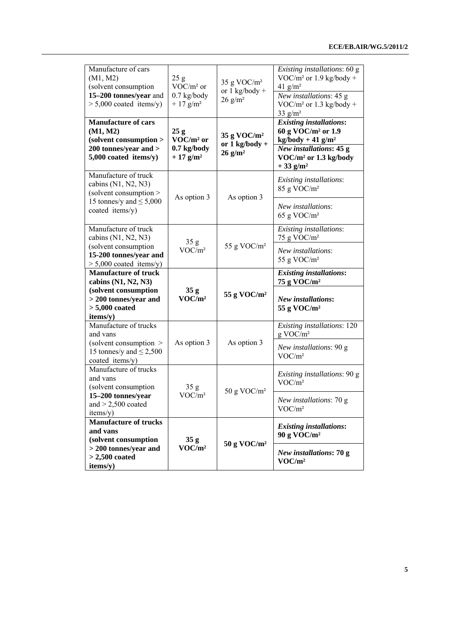| Manufacture of cars<br>(M1, M2)<br>(solvent consumption<br>15-200 tonnes/year and<br>$> 5,000$ coated items/y)               | 25g<br>VOC/m <sup>2</sup> or<br>$0.7$ kg/body<br>$+17$ g/m <sup>2</sup> | 35 g VOC/ $m2$<br>or $1$ kg/body +<br>$26$ g/m <sup>2</sup>         | Existing installations: 60 g<br>VOC/ $m^2$ or 1.9 kg/body +<br>41 $g/m^2$<br>New installations: 45 g<br>VOC/ $m^2$ or 1.3 kg/body +<br>33 $g/m2$                                  |
|------------------------------------------------------------------------------------------------------------------------------|-------------------------------------------------------------------------|---------------------------------------------------------------------|-----------------------------------------------------------------------------------------------------------------------------------------------------------------------------------|
| <b>Manufacture of cars</b><br>(M1, M2)<br>(solvent consumption ><br>200 tonnes/year and ><br>5,000 coated items/y)           | 25g<br>VOC/m <sup>2</sup> or<br>$0.7$ kg/body<br>$+17$ g/m <sup>2</sup> | $35 g \text{ VOC/m}^2$<br>or $1$ kg/body +<br>$26$ g/m <sup>2</sup> | <b>Existing installations:</b><br>60 g VOC/m <sup>2</sup> or 1.9<br>$kg/body + 41 g/m2$<br>New installations: 45 g<br>VOC/m <sup>2</sup> or 1.3 kg/body<br>$+33$ g/m <sup>2</sup> |
| Manufacture of truck<br>cabins $(N1, N2, N3)$<br>(solvent consumption ><br>15 tonnes/y and $\leq$ 5,000<br>coated items/y)   | As option 3                                                             | As option 3                                                         | Existing installations:<br>85 g VOC/m <sup>2</sup><br>New installations:<br>65 g VOC/ $m2$                                                                                        |
| Manufacture of truck<br>cabins $(N1, N2, N3)$<br>(solvent consumption<br>15-200 tonnes/year and<br>$> 5,000$ coated items/y) | 35g<br>VOC/m <sup>2</sup>                                               | 55 g VOC/ $m2$                                                      | Existing installations:<br>75 g VOC/ $m2$<br>New installations:<br>55 g VOC/m <sup>2</sup>                                                                                        |
| <b>Manufacture of truck</b><br>cabins $(N1, N2, N3)$<br>(solvent consumption<br>> 200 tonnes/year and                        | 35 <sub>g</sub><br>VOC/m <sup>2</sup>                                   | 55 g VOC/ $m2$                                                      | <b>Existing installations:</b><br>75 g VOC/ $m2$<br><b>New installations:</b>                                                                                                     |
| $> 5,000$ coated<br>items/y)                                                                                                 |                                                                         |                                                                     | 55 g VOC/ $m2$                                                                                                                                                                    |
| Manufacture of trucks<br>and vans<br>(solvent consumption $\geq$<br>15 tonnes/y and $\leq$ 2,500                             | As option 3                                                             | As option 3                                                         | Existing installations: 120<br>$g$ VOC/ $m2$<br>New installations: 90 g                                                                                                           |
| coated items/y)<br>Manufacture of trucks<br>and vans                                                                         |                                                                         |                                                                     | VOC/m <sup>2</sup><br>Existing installations: 90 g<br>VOC/m <sup>2</sup>                                                                                                          |
| (solvent consumption<br>15-200 tonnes/year<br>and $> 2,500$ coated<br>items/y)                                               | 35g<br>VOC/m <sup>2</sup>                                               | 50 g VOC/ $m2$                                                      | New installations: 70 g<br>VOC/m <sup>2</sup>                                                                                                                                     |
| <b>Manufacture of trucks</b><br>and vans<br>(solvent consumption                                                             | 35g                                                                     |                                                                     | <b>Existing installations:</b><br>90 g VOC/m <sup>2</sup>                                                                                                                         |
| > 200 tonnes/year and<br>$>2,500$ coated<br>items/y)                                                                         | VOC/m <sup>2</sup>                                                      | 50 g VOC/m <sup>2</sup>                                             | New installations: 70 g<br>VOC/m <sup>2</sup>                                                                                                                                     |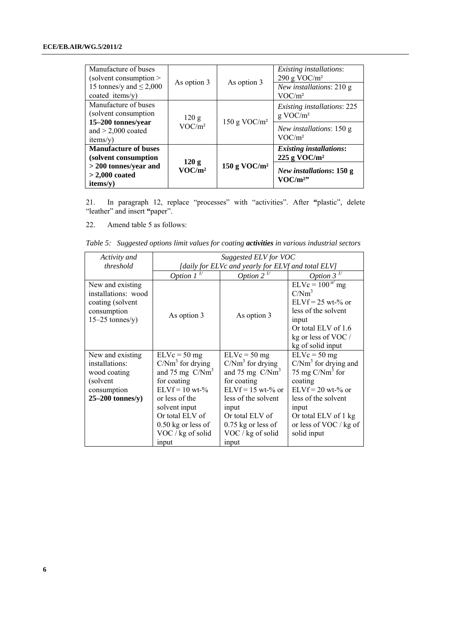| Manufacture of buses<br>(solvent consumption $>$ |                             |                 | <i>Existing installations:</i><br>290 g VOC/ $m2$ |
|--------------------------------------------------|-----------------------------|-----------------|---------------------------------------------------|
| 15 tonnes/y and $\leq$ 2,000                     | As option 3                 | As option 3     | New installations: 210 g                          |
| coated items/y)                                  |                             |                 | VOC/m <sup>2</sup>                                |
| Manufacture of buses                             |                             |                 | <i>Existing installations: 225</i>                |
| (solvent consumption)                            | 120 g<br>VOC/m <sup>2</sup> | 150 g VOC/ $m2$ | $g$ VOC/ $m2$                                     |
| 15-200 tonnes/year                               |                             |                 |                                                   |
| and $> 2,000$ coated                             |                             |                 | New installations: 150 g                          |
| items(v)                                         |                             |                 | VOC/m <sup>2</sup>                                |
| <b>Manufacture of buses</b>                      |                             | 150 g VOC/ $m2$ | <b>Existing installations:</b>                    |
| (solvent consumption                             | 120 g                       |                 | $225$ g VOC/m <sup>2</sup>                        |
| $>$ 200 tonnes/year and                          | VOC/m <sup>2</sup>          |                 |                                                   |
| $>$ 2,000 coated                                 |                             |                 | New installations: 150 g<br>VOC/m <sup>2</sup>    |
| items(v)                                         |                             |                 |                                                   |

21. In paragraph 12, replace "processes" with "activities". After **"**plastic", delete "leather" and insert **"**paper".

22. Amend table 5 as follows:

| Table 5: Suggested options limit values for coating activities in various industrial sectors |  |  |  |  |  |
|----------------------------------------------------------------------------------------------|--|--|--|--|--|
|                                                                                              |  |  |  |  |  |

| Activity and                                                                                         | Suggested ELV for VOC                                                                                                                                                                                     |                                                                                                                                                                                                          |                                                                                                                                                                                                  |  |  |
|------------------------------------------------------------------------------------------------------|-----------------------------------------------------------------------------------------------------------------------------------------------------------------------------------------------------------|----------------------------------------------------------------------------------------------------------------------------------------------------------------------------------------------------------|--------------------------------------------------------------------------------------------------------------------------------------------------------------------------------------------------|--|--|
| threshold                                                                                            |                                                                                                                                                                                                           | [daily for ELVc and yearly for ELVf and total ELV]                                                                                                                                                       |                                                                                                                                                                                                  |  |  |
|                                                                                                      | Option $1^{\nu}$                                                                                                                                                                                          | Option 2 $\frac{1}{2}$                                                                                                                                                                                   | Option $3^{\frac{1}{2}}$                                                                                                                                                                         |  |  |
| New and existing<br>installations: wood<br>coating (solvent<br>consumption<br>$15-25$ tonnes/y)      | As option 3                                                                                                                                                                                               | As option 3                                                                                                                                                                                              | $ELVc = 100a mg$<br>$C/Nm^3$<br>$ELVf = 25 wt-% or$<br>less of the solvent<br>input<br>Or total ELV of 1.6<br>kg or less of VOC /<br>kg of solid input                                           |  |  |
| New and existing<br>installations:<br>wood coating<br>(solvent)<br>consumption<br>$25-200$ tonnes/y) | $ELVc = 50 mg$<br>$C/Nm3$ for drying<br>and 75 mg $C/Nm3$<br>for coating<br>$ELVf = 10 wt-$ %<br>or less of the<br>solvent input<br>Or total ELV of<br>$0.50$ kg or less of<br>VOC / kg of solid<br>input | $ELVc = 50 mg$<br>$C/Nm3$ for drying<br>and 75 mg $C/Nm3$<br>for coating<br>$ELVf = 15$ wt-% or<br>less of the solvent<br>input<br>Or total ELV of<br>$0.75$ kg or less of<br>VOC / kg of solid<br>input | $ELVc = 50 mg$<br>$C/Nm3$ for drying and<br>75 mg $C/Nm3$ for<br>coating<br>$ELVf = 20$ wt-% or<br>less of the solvent<br>input<br>Or total ELV of 1 kg<br>or less of VOC / kg of<br>solid input |  |  |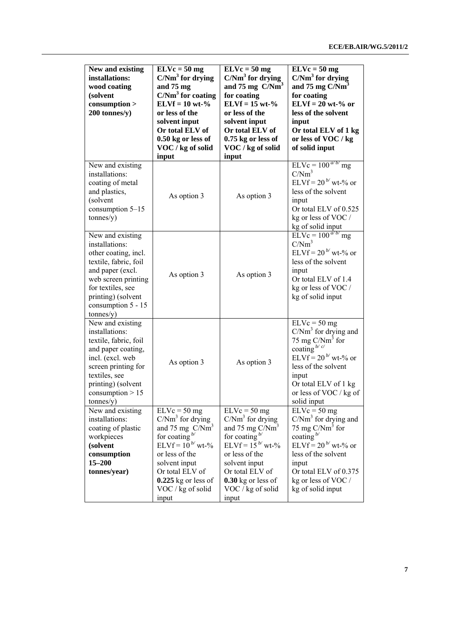| New and existing<br>installations:<br>wood coating<br>(solvent<br>consumption<br>200 tonnes/y)                                                                                                               | $ELVc = 50 mg$<br>$C/Nm3$ for drying<br>and 75 mg<br>$C/Nm3$ for coating<br>$ELVf = 10 wt-$ %<br>or less of the<br>solvent input<br>Or total ELV of<br>0.50 kg or less of<br>VOC / kg of solid<br>input                     | $ELVc = 50 mg$<br>$C/Nm3$ for drying<br>and $75 \text{ mg} \text{ C/Nm}^3$<br>for coating<br>$ELVf = 15 wt-$ %<br>or less of the<br>solvent input<br>Or total ELV of<br>$0.75$ kg or less of<br>VOC / kg of solid<br>input | $\overline{ELVc} = 50$ mg<br>$C/Nm3$ for drying<br>and 75 mg C/Nm <sup>3</sup><br>for coating<br>$ELVf = 20 wt-% or$<br>less of the solvent<br>input<br>Or total ELV of 1 kg<br>or less of VOC / kg<br>of solid input  |
|--------------------------------------------------------------------------------------------------------------------------------------------------------------------------------------------------------------|-----------------------------------------------------------------------------------------------------------------------------------------------------------------------------------------------------------------------------|----------------------------------------------------------------------------------------------------------------------------------------------------------------------------------------------------------------------------|------------------------------------------------------------------------------------------------------------------------------------------------------------------------------------------------------------------------|
| New and existing<br>installations:<br>coating of metal<br>and plastics,<br>(solvent<br>consumption $5-15$<br>tonnes/y)                                                                                       | As option 3                                                                                                                                                                                                                 | As option 3                                                                                                                                                                                                                | $ELVc = 100^{a/b'}$ mg<br>C/Nm <sup>3</sup><br>ELVf = $20^{b}$ wt-% or<br>less of the solvent<br>input<br>Or total ELV of 0.525<br>kg or less of VOC /<br>kg of solid input                                            |
| New and existing<br>installations:<br>other coating, incl.<br>textile, fabric, foil<br>and paper (excl.<br>web screen printing<br>for textiles, see<br>printing) (solvent<br>consumption 5 - 15<br>tonnes/y) | As option 3                                                                                                                                                                                                                 | As option 3                                                                                                                                                                                                                | $ELVc = 100^{a/b/m}$ g<br>C/Nm <sup>3</sup><br>ELVf = $20^{b}$ wt-% or<br>less of the solvent<br>input<br>Or total ELV of 1.4<br>kg or less of VOC /<br>kg of solid input                                              |
| New and existing<br>installations:<br>textile, fabric, foil<br>and paper coating,<br>incl. (excl. web<br>screen printing for<br>textiles, see<br>printing) (solvent<br>consumption $> 15$<br>tonnes/y)       | As option 3                                                                                                                                                                                                                 | As option 3                                                                                                                                                                                                                | $ELVc = 50 mg$<br>$C/Nm3$ for drying and<br>75 mg $C/Nm3$ for<br>coating $b/c$<br>ELVf = $20^{b}$ wt-% or<br>less of the solvent<br>input<br>Or total ELV of 1 kg<br>or less of VOC / kg of<br>solid input             |
| New and existing<br>installations:<br>coating of plastic<br>workpieces<br>(solvent<br>consumption<br>15-200<br>tonnes/year)                                                                                  | $ELVc = 50 mg$<br>$C/Nm3$ for drying<br>and 75 mg $C/Nm3$<br>for coating $\frac{b}{c}$<br>ELVf = $10^{b}$ wt-%<br>or less of the<br>solvent input<br>Or total ELV of<br>$0.225$ kg or less of<br>VOC / kg of solid<br>input | $ELVc = 50 mg$<br>$C/Nm3$ for drying<br>and 75 mg $C/Nm3$<br>for coating $\frac{b}{c}$<br>$ELVf = 15^{b}$ wt-%<br>or less of the<br>solvent input<br>Or total ELV of<br>$0.30$ kg or less of<br>VOC / kg of solid<br>input | $ELVc = 50 mg$<br>$C/Nm3$ for drying and<br>75 mg $C/Nm3$ for<br>coating $\frac{b}{c}$<br>ELVf = $20^{b}$ wt-% or<br>less of the solvent<br>input<br>Or total ELV of 0.375<br>kg or less of VOC /<br>kg of solid input |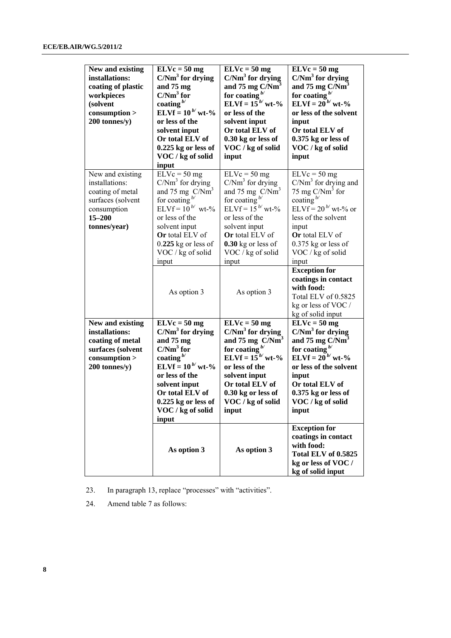| New and existing<br>installations:<br>coating of plastic<br>workpieces<br>(solvent<br>consumption<br>200 tonnes/y)       | $\overline{ELVc} = 50$ mg<br>$C/Nm3$ for drying<br>and 75 mg<br>$C/Nm3$ for<br>coating $b/$<br>ELVf = $10^{b}$ wt-%<br>or less of the<br>solvent input<br>Or total ELV of<br>$0.225$ kg or less of<br>VOC / kg of solid<br>input     | $\overline{ELVc} = 50$ mg<br>$C/Nm3$ for drying<br>and 75 mg $C/Nm3$<br>for coating $b'$<br>ELVf = $15^{b}$ wt-%<br>or less of the<br>solvent input<br>Or total ELV of<br>0.30 kg or less of<br>VOC / kg of solid<br>input                   | $\overline{ELVc} = 50$ mg<br>$C/Nm3$ for drying<br>and 75 mg $C/Nm3$<br>for coating $b$<br>ELVf = $20^{b'}$ wt-%<br>or less of the solvent<br>input<br>Or total ELV of<br>$0.375$ kg or less of<br>VOC / kg of solid<br>input           |
|--------------------------------------------------------------------------------------------------------------------------|--------------------------------------------------------------------------------------------------------------------------------------------------------------------------------------------------------------------------------------|----------------------------------------------------------------------------------------------------------------------------------------------------------------------------------------------------------------------------------------------|-----------------------------------------------------------------------------------------------------------------------------------------------------------------------------------------------------------------------------------------|
| New and existing<br>installations:<br>coating of metal<br>surfaces (solvent<br>consumption<br>$15 - 200$<br>tonnes/year) | $ELVc = 50 mg$<br>$C/Nm3$ for drying<br>and 75 mg $C/Nm3$<br>for coating $\frac{b}{c}$<br>ELVf = $10^{b}$ wt-%<br>or less of the<br>solvent input<br>Or total ELV of<br>$0.225$ kg or less of<br>VOC / kg of solid<br>input          | $ELVc = 50 mg$<br>$C/Nm3$ for drying<br>and 75 mg $C/Nm3$<br>for coating $\frac{b}{c}$<br>ELVf = $15^{b}$ wt-%<br>or less of the<br>solvent input<br>Or total ELV of<br>$0.30$ kg or less of<br>VOC / kg of solid<br>input                   | $\overline{EL}$ Vc = 50 mg<br>$C/Nm3$ for drying and<br>75 mg $C/Nm3$ for<br>coating $\frac{b}{c}$<br>ELVf = $20^{b}$ wt-% or<br>less of the solvent<br>input<br>Or total ELV of<br>$0.375$ kg or less of<br>VOC / kg of solid<br>input |
|                                                                                                                          | As option 3                                                                                                                                                                                                                          | As option 3                                                                                                                                                                                                                                  | <b>Exception for</b><br>coatings in contact<br>with food:<br>Total ELV of 0.5825<br>kg or less of VOC /<br>kg of solid input                                                                                                            |
| New and existing<br>installations:<br>coating of metal<br>surfaces (solvent<br>consumption<br>200 tonnes/y)              | $ELVc = 50 mg$<br>$C/Nm3$ for drying<br>and 75 mg<br>$C/Nm3$ for<br>coating $b^{\prime}$<br><b>ELVf</b> = $10^{b}$ wt-%<br>or less of the<br>solvent input<br>Or total ELV of<br>$0.225$ kg or less of<br>VOC / kg of solid<br>input | $ELVc = 50 mg$<br>$C/Nm3$ for drying<br>and $75 \text{ mg}$ C/Nm <sup>3</sup><br>for coating $b'$<br><b>ELVf</b> = $15^{b/2}$ wt-%<br>or less of the<br>solvent input<br>Or total ELV of<br>0.30 kg or less of<br>VOC / kg of solid<br>input | $ELVc = 50 mg$<br>$C/Nm3$ for drying<br>and 75 mg $C/Nm3$<br>for coating $b/$<br>ELVf = $20^{b/2}$ wt-%<br>or less of the solvent<br>input<br>Or total ELV of<br>$0.375$ kg or less of<br>VOC / kg of solid<br>input                    |
|                                                                                                                          | As option 3                                                                                                                                                                                                                          | As option 3                                                                                                                                                                                                                                  | <b>Exception for</b><br>coatings in contact<br>with food:<br>Total ELV of 0.5825<br>kg or less of VOC /<br>kg of solid input                                                                                                            |

23. In paragraph 13, replace "processes" with "activities".

24. Amend table 7 as follows: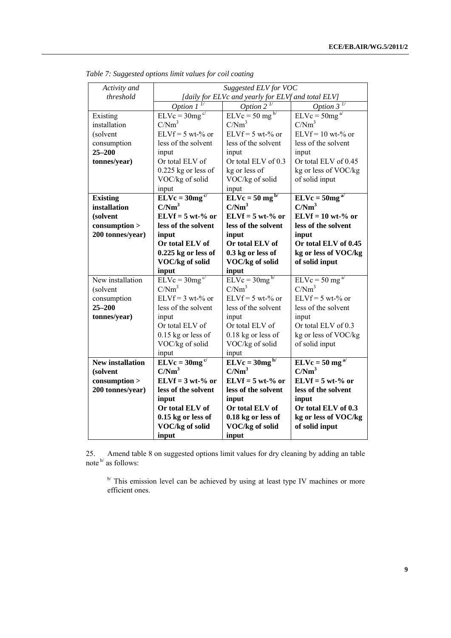| Activity and            | Suggested ELV for VOC                              |                                         |                          |  |  |
|-------------------------|----------------------------------------------------|-----------------------------------------|--------------------------|--|--|
| threshold               | [daily for ELVc and yearly for ELVf and total ELV] |                                         |                          |  |  |
|                         | Option 1                                           | Option 2                                | Option $3^{\frac{1}{2}}$ |  |  |
| Existing                | $ELVc = 30mg^{c/2}$                                | $\overline{ELVc}$ = 50 mg <sup>b/</sup> | $ELVc = 50mga/$          |  |  |
| installation            | C/Nm <sup>3</sup>                                  | $C/Nm^3$                                | C/Nm <sup>3</sup>        |  |  |
| (solvent                | $ELVf = 5 wt-$ % or                                | $ELVf = 5 wt-% or$                      | $ELVf = 10$ wt-% or      |  |  |
| consumption             | less of the solvent                                | less of the solvent                     | less of the solvent      |  |  |
| $25 - 200$              | input                                              | input                                   | input                    |  |  |
| tonnes/year)            | Or total ELV of                                    | Or total ELV of 0.3                     | Or total ELV of 0.45     |  |  |
|                         | $0.225$ kg or less of                              | kg or less of                           | kg or less of VOC/kg     |  |  |
|                         | VOC/kg of solid                                    | VOC/kg of solid                         | of solid input           |  |  |
|                         | input                                              | input                                   |                          |  |  |
| <b>Existing</b>         | $ELVc = 30mg^{c/2}$                                | $ELVc = 50 mg^{b/2}$                    | $ELVc = 50mga/$          |  |  |
| installation            | C/Nm <sup>3</sup>                                  | C/Nm <sup>3</sup>                       | C/Nm <sup>3</sup>        |  |  |
| (solvent                | $ELVf = 5 wt-% or$                                 | $ELVf = 5 wt-% or$                      | $ELVf = 10$ wt-% or      |  |  |
| consumption             | less of the solvent                                | less of the solvent                     | less of the solvent      |  |  |
| 200 tonnes/year)        | input                                              | input                                   | input                    |  |  |
|                         | Or total ELV of                                    | Or total ELV of                         | Or total ELV of 0.45     |  |  |
|                         | $0.225$ kg or less of                              | 0.3 kg or less of                       | kg or less of VOC/kg     |  |  |
|                         | VOC/kg of solid                                    | VOC/kg of solid                         | of solid input           |  |  |
|                         |                                                    |                                         |                          |  |  |
|                         | input                                              | input                                   |                          |  |  |
| New installation        | $ELVc = 30mg^{c/2}$                                | $ELVc = 30mg^{b/2}$                     | $ELVc = 50 mg^{a/2}$     |  |  |
| (solvent                | C/Nm <sup>3</sup>                                  | $C/Nm^3$                                | C/Nm <sup>3</sup>        |  |  |
| consumption             | $ELVf = 3 wt-% or$                                 | $ELVf = 5 wt-$ % or                     | $ELVf = 5 wt-$ % or      |  |  |
| $25 - 200$              | less of the solvent                                | less of the solvent                     | less of the solvent      |  |  |
| tonnes/year)            | input                                              | input                                   | input                    |  |  |
|                         | Or total ELV of                                    | Or total ELV of                         | Or total ELV of 0.3      |  |  |
|                         | $0.15$ kg or less of                               | 0.18 kg or less of                      | kg or less of VOC/kg     |  |  |
|                         | VOC/kg of solid                                    | VOC/kg of solid                         | of solid input           |  |  |
|                         | input                                              | input                                   |                          |  |  |
| <b>New installation</b> | $ELVc = 30mg^{c/2}$                                | $ELVc = 30mg^{b/2}$                     | $ELVc = 50 mg^{a/2}$     |  |  |
| (solvent                | C/Nm <sup>3</sup>                                  | C/Nm <sup>3</sup>                       | C/Nm <sup>3</sup>        |  |  |
| consumption             | $ELVf = 3 wt-% or$                                 | $ELVf = 5 wt-% or$                      | $ELVf = 5 wt-% or$       |  |  |
| 200 tonnes/year)        | less of the solvent                                | less of the solvent                     | less of the solvent      |  |  |
|                         | input                                              | input                                   | input                    |  |  |
|                         | Or total ELV of                                    | Or total ELV of                         | Or total ELV of 0.3      |  |  |
|                         | $0.15$ kg or less of                               | 0.18 kg or less of                      | kg or less of VOC/kg     |  |  |
|                         | VOC/kg of solid<br>input                           | <b>VOC/kg</b> of solid<br>input         | of solid input           |  |  |

*Table 7: Suggested options limit values for coil coating* 

25. Amend table 8 on suggested options limit values for dry cleaning by adding an table note  $\mathfrak{b}'$  as follows:

 $\mathbb{R}^{p}$  This emission level can be achieved by using at least type IV machines or more efficient ones.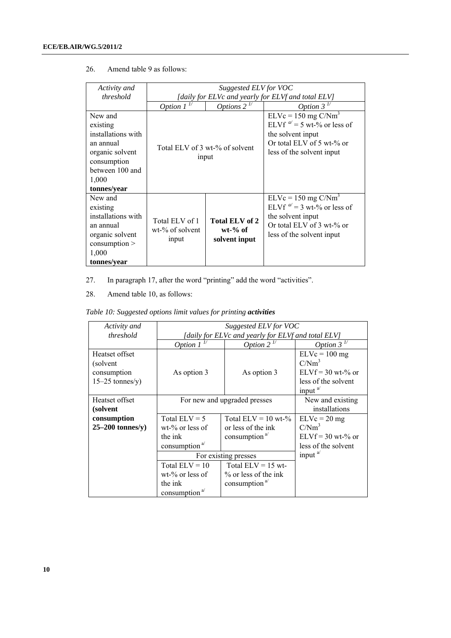| Activity and                                                                                                                        | Suggested ELV for VOC                |                                                    |                                                                                                                                                  |  |  |
|-------------------------------------------------------------------------------------------------------------------------------------|--------------------------------------|----------------------------------------------------|--------------------------------------------------------------------------------------------------------------------------------------------------|--|--|
| threshold                                                                                                                           |                                      | [daily for ELVc and yearly for ELVf and total ELV] |                                                                                                                                                  |  |  |
|                                                                                                                                     | Option 1                             | Options $2^{\frac{1}{2}}$                          | Option $3^{\frac{1}{2}}$                                                                                                                         |  |  |
| New and<br>existing<br>installations with<br>an annual<br>organic solvent<br>consumption<br>between 100 and<br>1,000<br>tonnes/year |                                      | Total ELV of 3 wt-% of solvent<br>input            | $ELVc = 150$ mg $C/Nm3$<br>ELVf $a' = 5$ wt-% or less of<br>the solvent input<br>Or total ELV of 5 wt- $%$ or<br>less of the solvent input       |  |  |
| New and<br>existing<br>installations with<br>an annual<br>المتمردا ماما متمصمه                                                      | Total ELV of 1<br>$wt-$ % of solvent | Total ELV of 2<br>$wt-%$ of                        | $ELVc = 150$ mg $C/Nm3$<br>ELVf $a' = 3$ wt-% or less of<br>the solvent input<br>Or total ELV of $3$ wt-% or<br>المتحدث مستراحية وملائم والمراكب |  |  |

**solvent input** 

less of the solvent input

#### 26. Amend table 9 as follows:

27. In paragraph 17, after the word "printing" add the word "activities".

28. Amend table 10, as follows:

organic solvent consumption >

1,000 **tonnes/year**

*Table 10: Suggested options limit values for printing activities* 

input

| Activity and                                                    | Suggested ELV for VOC                                                                                    |                                                                                          |                                                                                                 |  |
|-----------------------------------------------------------------|----------------------------------------------------------------------------------------------------------|------------------------------------------------------------------------------------------|-------------------------------------------------------------------------------------------------|--|
| threshold                                                       | [daily for ELVc and yearly for ELVf and total ELV]                                                       |                                                                                          |                                                                                                 |  |
|                                                                 | Option $1^{\frac{1}{2}}$                                                                                 | Option 2 <sup>1/</sup>                                                                   | Option $3^{\frac{1}{2}}$                                                                        |  |
| Heatset offset<br>(solvent)<br>consumption<br>$15-25$ tonnes/y) | As option 3                                                                                              | As option 3                                                                              | $ELVc = 100 mg$<br>C/Nm <sup>3</sup><br>$ELVf = 30$ wt-% or<br>less of the solvent<br>input $a$ |  |
| Heatset offset<br>(solvent                                      | For new and upgraded presses                                                                             |                                                                                          | New and existing<br>installations                                                               |  |
| consumption<br>$25-200$ tonnes/y)                               | Total $ELV = 5$<br>$wt$ <sup>-%</sup> or less of<br>the ink<br>consumption $a$ <sup><math>d</math></sup> | Total $ELV = 10$ wt-%<br>or less of the ink<br>consumption $a$ <sup><math>d</math></sup> | $ELVc = 20 mg$<br>C/Nm <sup>3</sup><br>$ELVf = 30$ wt-% or<br>less of the solvent               |  |
|                                                                 | For existing presses                                                                                     |                                                                                          | input $a$                                                                                       |  |
|                                                                 | Total $ELV = 10$<br>$wt-$ % or less of<br>the ink<br>consumption <sup>a/</sup>                           | Total $ELV = 15$ wt-<br>$%$ or less of the ink<br>consumption <sup>a/</sup>              |                                                                                                 |  |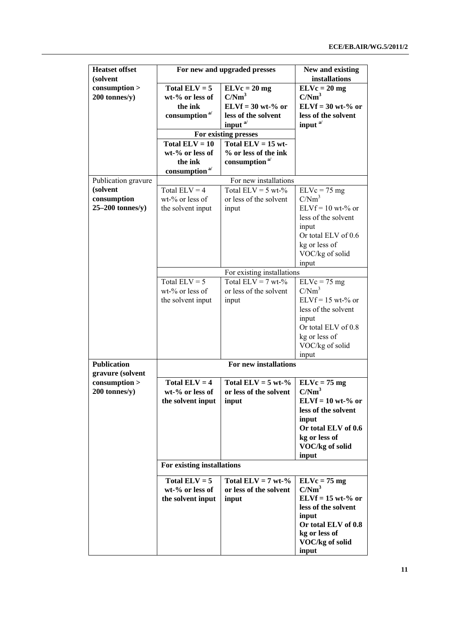| <b>Heatset offset</b><br>(solvent      |                            | For new and upgraded presses     | New and existing<br>installations |
|----------------------------------------|----------------------------|----------------------------------|-----------------------------------|
| consumption                            | Total $ELV = 5$            | $ELVc = 20 mg$                   | $ELVc = 20 mg$                    |
| 200 tonnes/y)                          | wt-% or less of            | C/Nm <sup>3</sup>                | C/Nm <sup>3</sup>                 |
|                                        | the ink                    | $ELVf = 30 wt-% or$              | $ELVf = 30 wt-% or$               |
|                                        | consumption <sup>a/</sup>  | less of the solvent              | less of the solvent               |
|                                        |                            | input a/                         | input <sup>a/</sup>               |
|                                        |                            | For existing presses             |                                   |
|                                        | Total $ELV = 10$           | Total $ELV = 15$ wt-             |                                   |
|                                        | wt-% or less of            | % or less of the ink             |                                   |
|                                        | the ink                    | consumption <sup>a/</sup>        |                                   |
|                                        | consumption <sup>a/</sup>  |                                  |                                   |
| Publication gravure                    |                            | For new installations            |                                   |
| (solvent                               | Total $ELV = 4$            | Total $ELV = 5 wt-$ %            | $ELVc = 75 mg$                    |
| consumption                            | wt-% or less of            | or less of the solvent           | C/Nm <sup>3</sup>                 |
| $25-200$ tonnes/y)                     |                            |                                  | $ELVf = 10$ wt-% or               |
|                                        | the solvent input          | input                            | less of the solvent               |
|                                        |                            |                                  |                                   |
|                                        |                            |                                  | input                             |
|                                        |                            |                                  | Or total ELV of 0.6               |
|                                        |                            |                                  | kg or less of                     |
|                                        |                            |                                  | VOC/kg of solid                   |
|                                        |                            |                                  | input                             |
|                                        |                            | For existing installations       |                                   |
|                                        | Total $ELV = 5$            | Total ELV = 7 wt- $\frac{1}{\%}$ | $ELVc = 75 mg$                    |
|                                        | wt-% or less of            | or less of the solvent           | C/Nm <sup>3</sup>                 |
|                                        | the solvent input          | input                            | $ELVf = 15$ wt-% or               |
|                                        |                            |                                  | less of the solvent               |
|                                        |                            |                                  | input                             |
|                                        |                            |                                  | Or total ELV of 0.8               |
|                                        |                            |                                  | kg or less of                     |
|                                        |                            |                                  | VOC/kg of solid                   |
|                                        |                            |                                  | input                             |
| <b>Publication</b><br>gravure (solvent |                            | For new installations            |                                   |
| consumption                            | Total $ELV = 4$            | Total $ELV = 5$ wt-%             | $ELVc = 75 mg$                    |
| 200 tonnes/y)                          | wt-% or less of            | or less of the solvent           | C/Nm <sup>3</sup>                 |
|                                        | the solvent input          | input                            | $ELVf = 10$ wt-% or               |
|                                        |                            |                                  | less of the solvent               |
|                                        |                            |                                  | input                             |
|                                        |                            |                                  | Or total ELV of 0.6               |
|                                        |                            |                                  | kg or less of                     |
|                                        |                            |                                  | VOC/kg of solid                   |
|                                        |                            |                                  | input                             |
|                                        | For existing installations |                                  |                                   |
|                                        | Total $ELV = 5$            | Total $ELV = 7$ wt-%             | $ELVc = 75 mg$                    |
|                                        | wt-% or less of            | or less of the solvent           | C/Nm <sup>3</sup>                 |
|                                        | the solvent input          | input                            | $ELVf = 15 wt-% or$               |
|                                        |                            |                                  | less of the solvent               |
|                                        |                            |                                  | input                             |
|                                        |                            |                                  | Or total ELV of 0.8               |
|                                        |                            |                                  | kg or less of                     |
|                                        |                            |                                  | VOC/kg of solid                   |
|                                        |                            |                                  | input                             |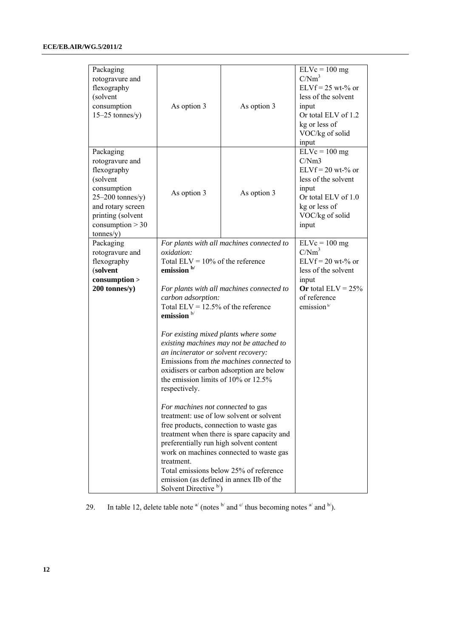| Packaging<br>rotogravure and<br>flexography<br>(solvent<br>consumption<br>$15-25$ tonnes/y)                                                                               | As option 3                                                                                                                                                                                                                                                                                                                                                                                                                                                                              | As option 3                                                                                                                                                                                                                                                                                                                                                                                                                                                  | $ELVc = 100 mg$<br>C/Nm <sup>3</sup><br>$ELVf = 25$ wt-% or<br>less of the solvent<br>input<br>Or total ELV of 1.2<br>kg or less of<br>VOC/kg of solid<br>input |
|---------------------------------------------------------------------------------------------------------------------------------------------------------------------------|------------------------------------------------------------------------------------------------------------------------------------------------------------------------------------------------------------------------------------------------------------------------------------------------------------------------------------------------------------------------------------------------------------------------------------------------------------------------------------------|--------------------------------------------------------------------------------------------------------------------------------------------------------------------------------------------------------------------------------------------------------------------------------------------------------------------------------------------------------------------------------------------------------------------------------------------------------------|-----------------------------------------------------------------------------------------------------------------------------------------------------------------|
| Packaging<br>rotogravure and<br>flexography<br>(solvent<br>consumption<br>$25-200$ tonnes/y)<br>and rotary screen<br>printing (solvent<br>consumption $> 30$<br>tonnes/y) | As option 3                                                                                                                                                                                                                                                                                                                                                                                                                                                                              | As option 3                                                                                                                                                                                                                                                                                                                                                                                                                                                  | $ELVc = 100 mg$<br>C/Nm3<br>$ELVf = 20$ wt-% or<br>less of the solvent<br>input<br>Or total ELV of 1.0<br>kg or less of<br>VOC/kg of solid<br>input             |
| Packaging<br>rotogravure and<br>flexography<br>(solvent<br>consumption<br>200 tonnes/y)                                                                                   | <i>oxidation:</i><br>Total ELV = $10\%$ of the reference<br>emission <sup>b/</sup><br>carbon adsorption:<br>Total ELV = $12.5\%$ of the reference<br>emission $b$<br>For existing mixed plants where some<br>an incinerator or solvent recovery:<br>the emission limits of $10\%$ or $12.5\%$<br>respectively.<br>For machines not connected to gas<br>free products, connection to waste gas<br>preferentially run high solvent content<br>treatment.<br>Solvent Directive <sup>b</sup> | For plants with all machines connected to<br>For plants with all machines connected to<br>existing machines may not be attached to<br>Emissions from <i>the machines connected</i> to<br>oxidisers or carbon adsorption are below<br>treatment: use of low solvent or solvent<br>treatment when there is spare capacity and<br>work on machines connected to waste gas<br>Total emissions below 25% of reference<br>emission (as defined in annex IIb of the | $ELVc = 100 mg$<br>C/Nm <sup>3</sup><br>$ELVf = 20$ wt-% or<br>less of the solvent<br>input<br>Or total $ELV = 25%$<br>of reference<br>emission <sup>b/</sup>   |

29. In table 12, delete table note  $a^{i}$  (notes  $b^{i}$  and  $c^{i}$  thus becoming notes  $a^{i}$  and  $b^{i}$ ).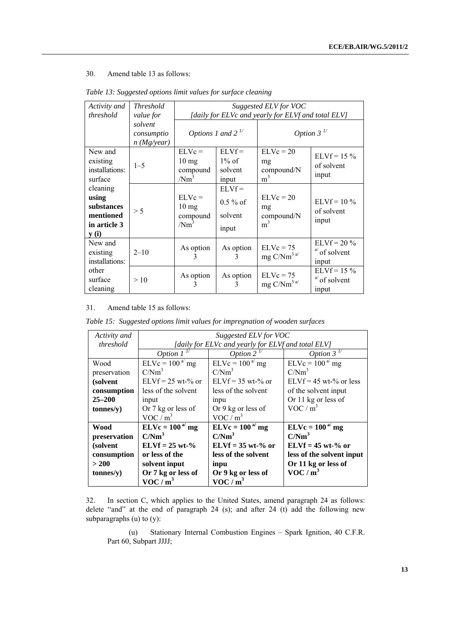### 30. Amend table 13 as follows:

| Activity and<br>threshold                                                        | <b>Threshold</b><br>value for          | Suggested ELV for VOC<br>[daily for ELVc and yearly for ELVf and total ELV] |                                            |                                                   |                                           |
|----------------------------------------------------------------------------------|----------------------------------------|-----------------------------------------------------------------------------|--------------------------------------------|---------------------------------------------------|-------------------------------------------|
|                                                                                  | solvent<br>consumptio<br>$n$ (Mg/year) | Options 1 and $2^{\frac{1}{2}}$                                             |                                            | Option $3^{\frac{1}{2}}$                          |                                           |
| New and<br>existing<br>installations:<br>surface                                 | $1 - 5$                                | $EL$ Vc =<br>$10 \text{ mg}$<br>compound<br>/Nm <sup>3</sup>                | $ELVf =$<br>$1\%$ of<br>solvent<br>input   | $ELVc = 20$<br>mg<br>compound/N<br>m <sup>3</sup> | $ELVf = 15 \%$<br>of solvent<br>input     |
| cleaning<br>using<br>substances<br>mentioned<br>in article 3<br>$\mathbf{y}$ (i) | > 5                                    | $ELVc =$<br>$10 \text{ mg}$<br>compound<br>/Nm <sup>3</sup>                 | $ELYf =$<br>$0.5\%$ of<br>solvent<br>input | $ELVc = 20$<br>mg<br>compound/N<br>m <sup>3</sup> | $ELVf = 10\%$<br>of solvent<br>input      |
| New and<br>existing<br>installations:                                            | $2 - 10$                               | As option<br>3                                                              | As option<br>3                             | $ELVc = 75$<br>mg $C/Nm3 a/1$                     | $ELVf = 20 \%$<br>$a$ of solvent<br>input |
| other<br>surface<br>cleaning                                                     | >10                                    | As option<br>3                                                              | As option                                  | $ELVc = 75$<br>mg $C/Nm^3$ <sup>a/</sup>          | $ELVf = 15 \%$<br>$a$ of solvent<br>input |

#### *Table 13: Suggested options limit values for surface cleaning*

#### 31. Amend table 15 as follows:

*Table 15: Suggested options limit values for impregnation of wooden surfaces* 

| Activity and | Suggested ELV for VOC                              |                        |                           |  |
|--------------|----------------------------------------------------|------------------------|---------------------------|--|
| threshold    | [daily for ELVc and yearly for ELVf and total ELV] |                        |                           |  |
|              | Option $1^{\frac{1}{2}}$                           | Option 2 $\frac{1}{2}$ | Option $3^{\frac{1}{2}}$  |  |
| Wood         | $ELVc = 100a mg$                                   | $ELVc = 100a mg$       | $ELVc = 100a$ mg          |  |
| preservation | $C/Nm^3$                                           | C/Nm <sup>3</sup>      | C/Nm <sup>3</sup>         |  |
| (solvent     | $ELVf = 25$ wt-% or                                | $ELVf = 35 wt-% or$    | $ELVf = 45$ wt-% or less  |  |
| consumption  | less of the solvent                                | less of the solvent    | of the solvent input      |  |
| $25 - 200$   | input                                              | <i>inpu</i>            | Or 11 kg or less of       |  |
| tonnes(y)    | Or 7 kg or less of                                 | Or 9 kg or less of     | $VOC/m^3$                 |  |
|              | $VOC/m^3$                                          | $VOC/m^3$              |                           |  |
| <b>Wood</b>  | $ELVc = 100a mg$                                   | $ELVc = 100a mg$       | $ELVc = 100a mg$          |  |
| preservation | C/Nm <sup>3</sup>                                  | C/Nm <sup>3</sup>      | C/Nm <sup>3</sup>         |  |
| (solvent)    | $ELVf = 25 wt-$ %                                  | $ELVf = 35 wt-% or$    | $ELVf = 45 wt-% or$       |  |
| consumption  | or less of the                                     | less of the solvent    | less of the solvent input |  |
| > 200        | solvent input                                      | inpu                   | Or 11 kg or less of       |  |
| tonnes(y)    | Or 7 kg or less of                                 | Or 9 kg or less of     | VOC/m <sup>3</sup>        |  |
|              | $VOC/m^3$                                          | VOC/m <sup>3</sup>     |                           |  |

32. In section C, which applies to the United States, amend paragraph 24 as follows: delete "and" at the end of paragraph 24 (s); and after 24 (t) add the following new subparagraphs  $(u)$  to  $(y)$ :

 (u) Stationary Internal Combustion Engines – Spark Ignition, 40 C.F.R. Part 60, Subpart JJJJ;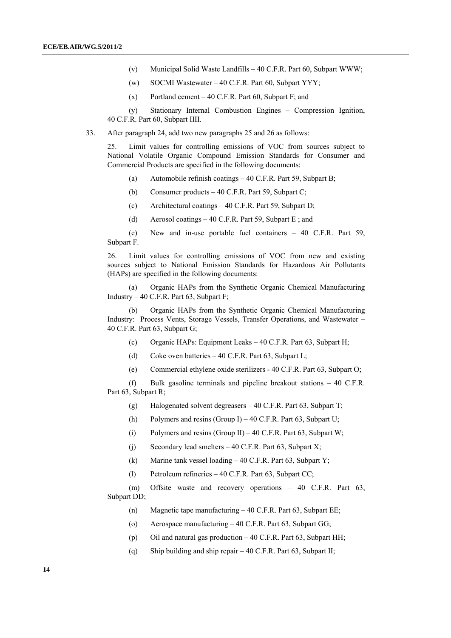- (v) Municipal Solid Waste Landfills 40 C.F.R. Part 60, Subpart WWW;
- (w) SOCMI Wastewater  $-40$  C.F.R. Part 60, Subpart YYY;
- (x) Portland cement  $-40$  C.F.R. Part 60, Subpart F; and

 (y) Stationary Internal Combustion Engines – Compression Ignition, 40 C.F.R. Part 60, Subpart IIII.

33. After paragraph 24, add two new paragraphs 25 and 26 as follows:

25. Limit values for controlling emissions of VOC from sources subject to National Volatile Organic Compound Emission Standards for Consumer and Commercial Products are specified in the following documents:

- (a) Automobile refinish coatings 40 C.F.R. Part 59, Subpart B;
- (b) Consumer products 40 C.F.R. Part 59, Subpart C;
- (c) Architectural coatings 40 C.F.R. Part 59, Subpart D;
- (d) Aerosol coatings 40 C.F.R. Part 59, Subpart E; and

 (e) New and in-use portable fuel containers – 40 C.F.R. Part 59, Subpart F.

26. Limit values for controlling emissions of VOC from new and existing sources subject to National Emission Standards for Hazardous Air Pollutants (HAPs) are specified in the following documents:

 (a) Organic HAPs from the Synthetic Organic Chemical Manufacturing Industry – 40 C.F.R. Part 63, Subpart F;

 (b) Organic HAPs from the Synthetic Organic Chemical Manufacturing Industry: Process Vents, Storage Vessels, Transfer Operations, and Wastewater – 40 C.F.R. Part 63, Subpart G;

- (c) Organic HAPs: Equipment Leaks 40 C.F.R. Part 63, Subpart H;
- (d) Coke oven batteries 40 C.F.R. Part 63, Subpart L;
- (e) Commercial ethylene oxide sterilizers 40 C.F.R. Part 63, Subpart O;

 (f) Bulk gasoline terminals and pipeline breakout stations – 40 C.F.R. Part 63, Subpart R;

- (g) Halogenated solvent degreasers 40 C.F.R. Part 63, Subpart T;
- (h) Polymers and resins  $(Group I) 40$  C.F.R. Part 63, Subpart U;
- (i) Polymers and resins (Group II) 40 C.F.R. Part 63, Subpart W;
- (j) Secondary lead smelters  $-40$  C.F.R. Part 63, Subpart X;
- (k) Marine tank vessel loading 40 C.F.R. Part 63, Subpart Y;
- (l) Petroleum refineries 40 C.F.R. Part 63, Subpart CC;

 (m) Offsite waste and recovery operations – 40 C.F.R. Part 63, Subpart DD;

- (n) Magnetic tape manufacturing 40 C.F.R. Part 63, Subpart EE;
- (o) Aerospace manufacturing 40 C.F.R. Part 63, Subpart GG;
- (p) Oil and natural gas production 40 C.F.R. Part 63, Subpart HH;
- (q) Ship building and ship repair 40 C.F.R. Part 63, Subpart II;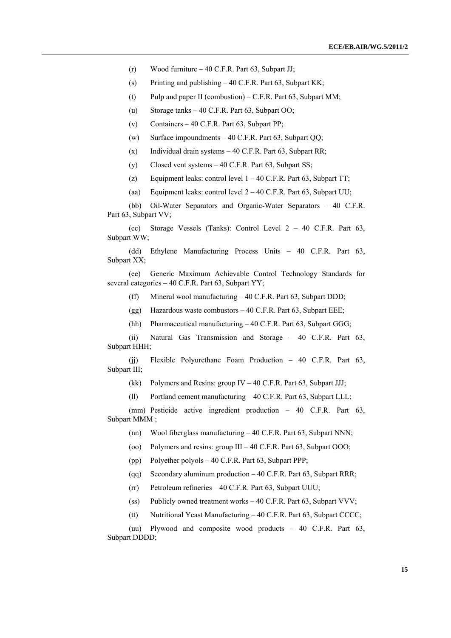(r) Wood furniture – 40 C.F.R. Part 63, Subpart JJ;

(s) Printing and publishing  $-40$  C.F.R. Part 63, Subpart KK;

- (t) Pulp and paper II (combustion) C.F.R. Part 63, Subpart MM;
- (u) Storage tanks 40 C.F.R. Part 63, Subpart OO;
- (v) Containers 40 C.F.R. Part 63, Subpart PP:
- (w) Surface impoundments  $-40$  C.F.R. Part 63, Subpart OO;
- (x) Individual drain systems  $-40$  C.F.R. Part 63, Subpart RR;
- (y) Closed vent systems  $-40$  C.F.R. Part 63, Subpart SS;
- (z) Equipment leaks: control level  $1 40$  C.F.R. Part 63, Subpart TT;
- (aa) Equipment leaks: control level 2 40 C.F.R. Part 63, Subpart UU;

(bb) Oil-Water Separators and Organic-Water Separators – 40 C.F.R. Part 63, Subpart VV;

 (cc) Storage Vessels (Tanks): Control Level 2 – 40 C.F.R. Part 63, Subpart WW;

 (dd) Ethylene Manufacturing Process Units – 40 C.F.R. Part 63, Subpart XX;

(ee) Generic Maximum Achievable Control Technology Standards for several categories – 40 C.F.R. Part 63, Subpart YY;

(ff) Mineral wool manufacturing – 40 C.F.R. Part 63, Subpart DDD;

- (gg) Hazardous waste combustors 40 C.F.R. Part 63, Subpart EEE;
- (hh) Pharmaceutical manufacturing 40 C.F.R. Part 63, Subpart GGG;

 (ii) Natural Gas Transmission and Storage – 40 C.F.R. Part 63, Subpart HHH;

 (jj) Flexible Polyurethane Foam Production – 40 C.F.R. Part 63, Subpart III;

(kk) Polymers and Resins: group IV – 40 C.F.R. Part 63, Subpart JJJ;

(ll) Portland cement manufacturing – 40 C.F.R. Part 63, Subpart LLL;

 (mm) Pesticide active ingredient production – 40 C.F.R. Part 63, Subpart MMM ;

- (nn) Wool fiberglass manufacturing 40 C.F.R. Part 63, Subpart NNN;
- (oo) Polymers and resins: group III 40 C.F.R. Part 63, Subpart OOO;
- (pp) Polyether polyols 40 C.F.R. Part 63, Subpart PPP;
- (qq) Secondary aluminum production 40 C.F.R. Part 63, Subpart RRR;
- (rr) Petroleum refineries 40 C.F.R. Part 63, Subpart UUU;
- (ss) Publicly owned treatment works 40 C.F.R. Part 63, Subpart VVV;
- (tt) Nutritional Yeast Manufacturing 40 C.F.R. Part 63, Subpart CCCC;

 (uu) Plywood and composite wood products – 40 C.F.R. Part 63, Subpart DDDD;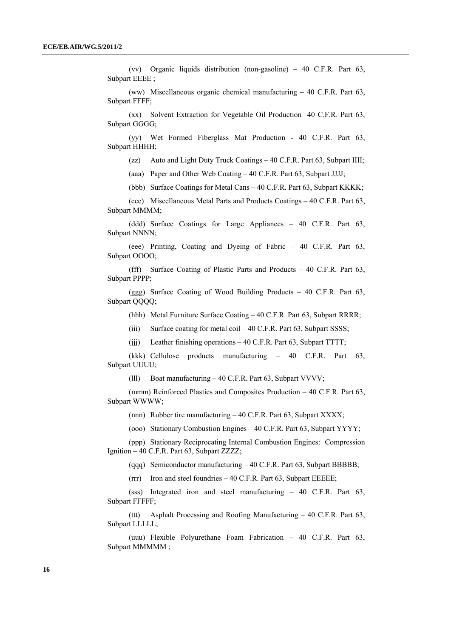(vv) Organic liquids distribution (non-gasoline) – 40 C.F.R. Part 63, Subpart EEEE ;

(ww) Miscellaneous organic chemical manufacturing – 40 C.F.R. Part 63, Subpart FFFF;

(xx) Solvent Extraction for Vegetable Oil Production 40 C.F.R. Part 63, Subpart GGGG;

 (yy) Wet Formed Fiberglass Mat Production - 40 C.F.R. Part 63, Subpart HHHH;

(zz) Auto and Light Duty Truck Coatings – 40 C.F.R. Part 63, Subpart IIII;

(aaa) Paper and Other Web Coating – 40 C.F.R. Part 63, Subpart JJJJ;

(bbb) Surface Coatings for Metal Cans – 40 C.F.R. Part 63, Subpart KKKK;

(ccc) Miscellaneous Metal Parts and Products Coatings – 40 C.F.R. Part 63, Subpart MMMM;

 (ddd) Surface Coatings for Large Appliances – 40 C.F.R. Part 63, Subpart NNNN;

 (eee) Printing, Coating and Dyeing of Fabric – 40 C.F.R. Part 63, Subpart OOOO;

(fff) Surface Coating of Plastic Parts and Products – 40 C.F.R. Part 63, Subpart PPPP;

(ggg) Surface Coating of Wood Building Products – 40 C.F.R. Part 63, Subpart QQQQ;

(hhh) Metal Furniture Surface Coating – 40 C.F.R. Part 63, Subpart RRRR;

(iii) Surface coating for metal coil – 40 C.F.R. Part 63, Subpart SSSS;

(jjj) Leather finishing operations – 40 C.F.R. Part 63, Subpart TTTT;

 (kkk) Cellulose products manufacturing – 40 C.F.R. Part 63, Subpart UUUU;

(lll) Boat manufacturing – 40 C.F.R. Part 63, Subpart VVVV;

(mmm) Reinforced Plastics and Composites Production – 40 C.F.R. Part 63, Subpart WWWW;

(nnn) Rubber tire manufacturing – 40 C.F.R. Part 63, Subpart XXXX;

(ooo) Stationary Combustion Engines – 40 C.F.R. Part 63, Subpart YYYY;

(ppp) Stationary Reciprocating Internal Combustion Engines: Compression Ignition – 40 C.F.R. Part 63, Subpart ZZZZ;

(qqq) Semiconductor manufacturing – 40 C.F.R. Part 63, Subpart BBBBB;

(rrr) Iron and steel foundries – 40 C.F.R. Part 63, Subpart EEEEE;

 (sss) Integrated iron and steel manufacturing – 40 C.F.R. Part 63, Subpart FFFFF;

(ttt) Asphalt Processing and Roofing Manufacturing – 40 C.F.R. Part 63, Subpart LLLLL;

(uuu) Flexible Polyurethane Foam Fabrication – 40 C.F.R. Part 63, Subpart MMMMM;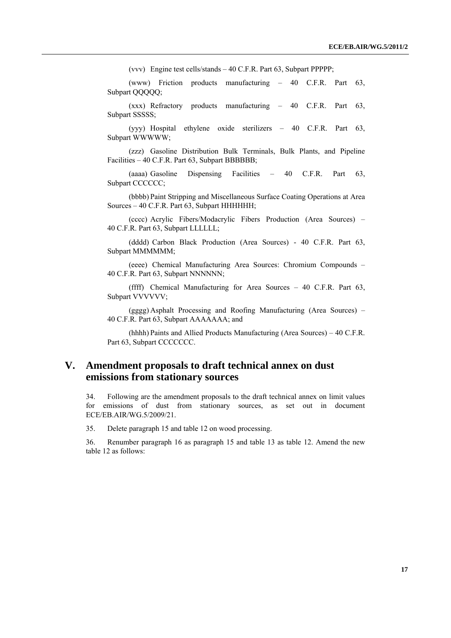(vvv) Engine test cells/stands – 40 C.F.R. Part 63, Subpart PPPPP;

 (www) Friction products manufacturing – 40 C.F.R. Part 63, Subpart QQQQQ;

 (xxx) Refractory products manufacturing – 40 C.F.R. Part 63, Subpart SSSSS:

 (yyy) Hospital ethylene oxide sterilizers – 40 C.F.R. Part 63, Subpart WWWWW;

 (zzz) Gasoline Distribution Bulk Terminals, Bulk Plants, and Pipeline Facilities – 40 C.F.R. Part 63, Subpart BBBBBB;

 (aaaa) Gasoline Dispensing Facilities – 40 C.F.R. Part 63, Subpart CCCCCC;

 (bbbb) Paint Stripping and Miscellaneous Surface Coating Operations at Area Sources – 40 C.F.R. Part 63, Subpart HHHHHH;

 (cccc) Acrylic Fibers/Modacrylic Fibers Production (Area Sources) – 40 C.F.R. Part 63, Subpart LLLLLL;

 (dddd) Carbon Black Production (Area Sources) - 40 C.F.R. Part 63, Subpart MMMMM;

 (eeee) Chemical Manufacturing Area Sources: Chromium Compounds – 40 C.F.R. Part 63, Subpart NNNNNN;

 (ffff) Chemical Manufacturing for Area Sources – 40 C.F.R. Part 63, Subpart VVVVVV;

 (gggg) Asphalt Processing and Roofing Manufacturing (Area Sources) – 40 C.F.R. Part 63, Subpart AAAAAAA; and

 (hhhh) Paints and Allied Products Manufacturing (Area Sources) – 40 C.F.R. Part 63, Subpart CCCCCCC.

## **V. Amendment proposals to draft technical annex on dust emissions from stationary sources**

34. Following are the amendment proposals to the draft technical annex on limit values for emissions of dust from stationary sources, as set out in document ECE/EB.AIR/WG.5/2009/21.

35. Delete paragraph 15 and table 12 on wood processing.

36. Renumber paragraph 16 as paragraph 15 and table 13 as table 12. Amend the new table 12 as follows: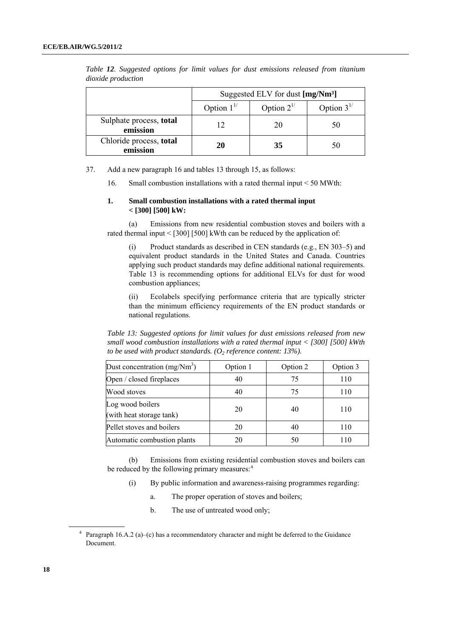|                                     | Suggested ELV for dust [mg/Nm <sup>3</sup> ] |                  |    |  |
|-------------------------------------|----------------------------------------------|------------------|----|--|
|                                     | Option $1^{1/2}$                             | Option $3^{1/2}$ |    |  |
| Sulphate process, total<br>emission | $\overline{12}$                              |                  | 50 |  |
| Chloride process, total<br>emission | 20                                           | 35               |    |  |

*Table 12. Suggested options for limit values for dust emissions released from titanium dioxide production* 

<span id="page-17-0"></span>37. Add a new paragraph 16 and tables 13 through 15, as follows:

16. Small combustion installations with a rated thermal input < 50 MWth:

#### **1. Small combustion installations with a rated thermal input < [300] [500] kW:**

 (a) Emissions from new residential combustion stoves and boilers with a rated thermal input  $\leq$  [300] [500] kWth can be reduced by the application of:

 (i) Product standards as described in CEN standards (e.g., EN 303–5) and equivalent product standards in the United States and Canada. Countries applying such product standards may define additional national requirements. Table 13 is recommending options for additional ELVs for dust for wood combustion appliances;

 (ii) Ecolabels specifying performance criteria that are typically stricter than the minimum efficiency requirements of the EN product standards or national regulations.

*Table 13: Suggested options for limit values for dust emissions released from new small wood combustion installations with a rated thermal input < [300] [500] kWth to be used with product standards.*  $(O_2 \text{ reference content: } 13\%)$ .

| Dust concentration $(mg/Nm3)$                | Option 1 | Option 2 | Option 3 |
|----------------------------------------------|----------|----------|----------|
| Open / closed fireplaces                     | 40       | 75       | 110      |
| Wood stoves                                  | 40       | 75       | 110      |
| Log wood boilers<br>(with heat storage tank) | 20       | 40       | 110      |
| Pellet stoves and boilers                    | 20       | 40       | 110      |
| Automatic combustion plants                  | 20       | 50       | 110      |

 (b) Emissions from existing residential combustion stoves and boilers can be reduced by the following primary measures:<sup>[4](#page-17-0)</sup>

- (i) By public information and awareness-raising programmes regarding:
	- a. The proper operation of stoves and boilers;
	- b. The use of untreated wood only;

<sup>4</sup> Paragraph 16.A.2 (a)–(c) has a recommendatory character and might be deferred to the Guidance Document.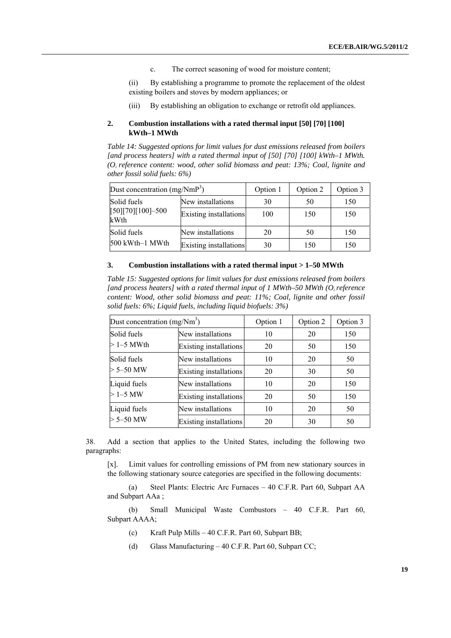c. The correct seasoning of wood for moisture content;

 (ii) By establishing a programme to promote the replacement of the oldest existing boilers and stoves by modern appliances; or

(iii) By establishing an obligation to exchange or retrofit old appliances.

#### **2. Combustion installations with a rated thermal input [50] [70] [100] kWth–1 MWth**

*Table 14: Suggested options for limit values for dust emissions released from boilers [and process heaters] with a rated thermal input of [50] [70] [100] kWth–1 MWth. (O2 reference content: wood, other solid biomass and peat: 13%; Coal, lignite and other fossil solid fuels: 6%)* 

| Dust concentration $(mg/NmP3)$ |                        | Option 1<br>Option 2 |     | Option 3 |
|--------------------------------|------------------------|----------------------|-----|----------|
| Solid fuels                    | New installations      | 30                   | 50  | 150      |
| $[50][70][100] - 500$<br>kWth  | Existing installations | 100                  | 150 | 150      |
| Solid fuels                    | New installations      | 20                   | 50  | 150      |
| 500 kWth-1 MWth                | Existing installations | 30                   | 150 | 150      |

#### **3. Combustion installations with a rated thermal input > 1–50 MWth**

*Table 15: Suggested options for limit values for dust emissions released from boilers*  [and process heaters] with a rated thermal input of 1 MWth–50 MWth (O<sub>2</sub> reference *content: Wood, other solid biomass and peat: 11%; Coal, lignite and other fossil solid fuels: 6%; Liquid fuels, including liquid biofuels: 3%)* 

| Dust concentration $(mg/Nm3)$ |                               | Option 2<br>Option 1 |    | Option 3 |
|-------------------------------|-------------------------------|----------------------|----|----------|
| Solid fuels                   | New installations             | 10                   | 20 | 150      |
| $>1-5$ MWth                   | <b>Existing installations</b> | 20                   | 50 | 150      |
| Solid fuels                   | New installations             | 10                   | 20 | 50       |
| $> 5 - 50$ MW                 | <b>Existing installations</b> | 20                   | 30 | 50       |
| Liquid fuels                  | New installations             | 10                   | 20 | 150      |
| $>1 - 5$ MW                   | <b>Existing installations</b> | 20                   | 50 | 150      |
| Liquid fuels                  | New installations             | 10                   | 20 | 50       |
| $> 5 - 50$ MW                 | Existing installations        | 20                   | 30 | 50       |

38. Add a section that applies to the United States, including the following two paragraphs:

[x]. Limit values for controlling emissions of PM from new stationary sources in the following stationary source categories are specified in the following documents:

(a) Steel Plants: Electric Arc Furnaces – 40 C.F.R. Part 60, Subpart AA and Subpart AAa ;

(b) Small Municipal Waste Combustors – 40 C.F.R. Part 60, Subpart AAAA;

- (c) Kraft Pulp Mills 40 C.F.R. Part 60, Subpart BB;
- (d) Glass Manufacturing 40 C.F.R. Part 60, Subpart CC;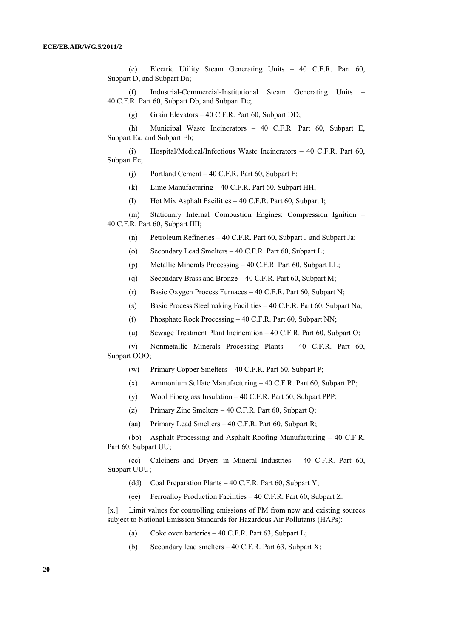(e) Electric Utility Steam Generating Units – 40 C.F.R. Part 60, Subpart D, and Subpart Da;

 (f) Industrial-Commercial-Institutional Steam Generating Units – 40 C.F.R. Part 60, Subpart Db, and Subpart Dc;

(g) Grain Elevators – 40 C.F.R. Part 60, Subpart DD;

 (h) Municipal Waste Incinerators – 40 C.F.R. Part 60, Subpart E, Subpart Ea, and Subpart Eb;

(i) Hospital/Medical/Infectious Waste Incinerators  $-40$  C.F.R. Part 60, Subpart Ec;

(j) Portland Cement – 40 C.F.R. Part 60, Subpart F;

(k) Lime Manufacturing – 40 C.F.R. Part 60, Subpart HH;

(l) Hot Mix Asphalt Facilities – 40 C.F.R. Part 60, Subpart I;

 (m) Stationary Internal Combustion Engines: Compression Ignition – 40 C.F.R. Part 60, Subpart IIII;

(n) Petroleum Refineries – 40 C.F.R. Part 60, Subpart J and Subpart Ja;

(o) Secondary Lead Smelters – 40 C.F.R. Part 60, Subpart L;

(p) Metallic Minerals Processing – 40 C.F.R. Part 60, Subpart LL;

(q) Secondary Brass and Bronze – 40 C.F.R. Part 60, Subpart M;

(r) Basic Oxygen Process Furnaces – 40 C.F.R. Part 60, Subpart N;

(s) Basic Process Steelmaking Facilities – 40 C.F.R. Part 60, Subpart Na;

(t) Phosphate Rock Processing – 40 C.F.R. Part 60, Subpart NN;

(u) Sewage Treatment Plant Incineration – 40 C.F.R. Part 60, Subpart O;

 (v) Nonmetallic Minerals Processing Plants – 40 C.F.R. Part 60, Subpart OOO;

(w) Primary Copper Smelters  $-40$  C.F.R. Part 60, Subpart P;

(x) Ammonium Sulfate Manufacturing – 40 C.F.R. Part 60, Subpart PP;

(y) Wool Fiberglass Insulation – 40 C.F.R. Part 60, Subpart PPP;

(z) Primary Zinc Smelters – 40 C.F.R. Part 60, Subpart Q;

(aa) Primary Lead Smelters – 40 C.F.R. Part 60, Subpart R;

 (bb) Asphalt Processing and Asphalt Roofing Manufacturing – 40 C.F.R. Part 60, Subpart UU;

 (cc) Calciners and Dryers in Mineral Industries – 40 C.F.R. Part 60, Subpart UUU;

(dd) Coal Preparation Plants – 40 C.F.R. Part 60, Subpart Y;

(ee) Ferroalloy Production Facilities – 40 C.F.R. Part 60, Subpart Z.

[x.] Limit values for controlling emissions of PM from new and existing sources subject to National Emission Standards for Hazardous Air Pollutants (HAPs):

- (a) Coke oven batteries 40 C.F.R. Part 63, Subpart L;
- (b) Secondary lead smelters 40 C.F.R. Part 63, Subpart X;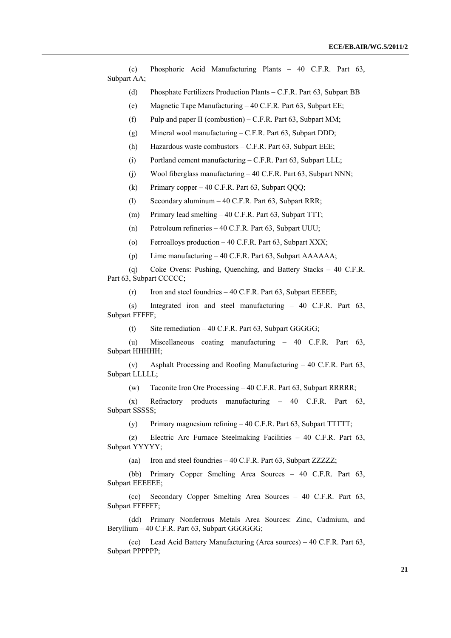(c) Phosphoric Acid Manufacturing Plants – 40 C.F.R. Part 63, Subpart AA;

(d) Phosphate Fertilizers Production Plants – C.F.R. Part 63, Subpart BB

(e) Magnetic Tape Manufacturing – 40 C.F.R. Part 63, Subpart EE;

(f) Pulp and paper II (combustion) – C.F.R. Part 63, Subpart MM;

(g) Mineral wool manufacturing – C.F.R. Part 63, Subpart DDD;

(h) Hazardous waste combustors – C.F.R. Part 63, Subpart EEE;

(i) Portland cement manufacturing – C.F.R. Part 63, Subpart LLL;

(j) Wool fiberglass manufacturing – 40 C.F.R. Part 63, Subpart NNN;

(k) Primary copper – 40 C.F.R. Part 63, Subpart QQQ;

(l) Secondary aluminum – 40 C.F.R. Part 63, Subpart RRR;

(m) Primary lead smelting – 40 C.F.R. Part 63, Subpart TTT;

(n) Petroleum refineries – 40 C.F.R. Part 63, Subpart UUU;

(o) Ferroalloys production – 40 C.F.R. Part 63, Subpart XXX;

(p) Lime manufacturing – 40 C.F.R. Part 63, Subpart AAAAAA;

 (q) Coke Ovens: Pushing, Quenching, and Battery Stacks – 40 C.F.R. Part 63, Subpart CCCCC;

(r) Iron and steel foundries – 40 C.F.R. Part 63, Subpart EEEEE;

 (s) Integrated iron and steel manufacturing – 40 C.F.R. Part 63, Subpart FFFFF;

(t) Site remediation  $-40$  C.F.R. Part 63, Subpart GGGGG;

 (u) Miscellaneous coating manufacturing – 40 C.F.R. Part 63, Subpart HHHHH;

 (v) Asphalt Processing and Roofing Manufacturing – 40 C.F.R. Part 63, Subpart LLLLL;

(w) Taconite Iron Ore Processing – 40 C.F.R. Part 63, Subpart RRRRR;

 (x) Refractory products manufacturing – 40 C.F.R. Part 63, Subpart SSSSS;

(y) Primary magnesium refining – 40 C.F.R. Part 63, Subpart TTTTT;

 (z) Electric Arc Furnace Steelmaking Facilities – 40 C.F.R. Part 63, Subpart YYYYY;

(aa) Iron and steel foundries – 40 C.F.R. Part 63, Subpart ZZZZZ;

 (bb) Primary Copper Smelting Area Sources – 40 C.F.R. Part 63, Subpart EEEEEE;

 (cc) Secondary Copper Smelting Area Sources – 40 C.F.R. Part 63, Subpart FFFFFF;

 (dd) Primary Nonferrous Metals Area Sources: Zinc, Cadmium, and Beryllium – 40 C.F.R. Part 63, Subpart GGGGGG;

 (ee) Lead Acid Battery Manufacturing (Area sources) – 40 C.F.R. Part 63, Subpart PPPPPP;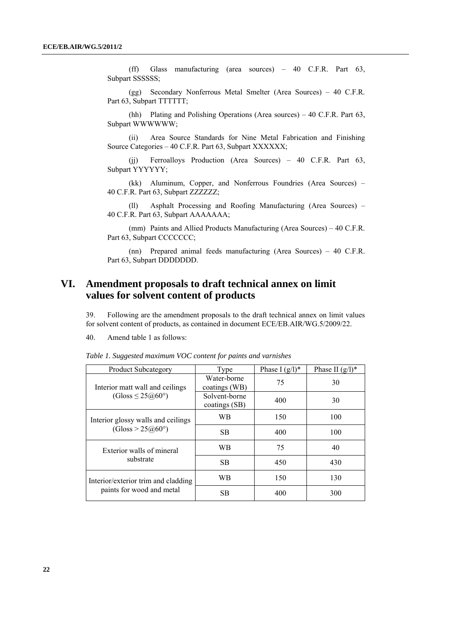(ff) Glass manufacturing (area sources) – 40 C.F.R. Part 63, Subpart SSSSSS;

 (gg) Secondary Nonferrous Metal Smelter (Area Sources) – 40 C.F.R. Part 63, Subpart TTTTTT;

 (hh) Plating and Polishing Operations (Area sources) – 40 C.F.R. Part 63, Subpart WWWWWW;

 (ii) Area Source Standards for Nine Metal Fabrication and Finishing Source Categories – 40 C.F.R. Part 63, Subpart XXXXXX;

 (jj) Ferroalloys Production (Area Sources) – 40 C.F.R. Part 63, Subpart YYYYYY;

 (kk) Aluminum, Copper, and Nonferrous Foundries (Area Sources) – 40 C.F.R. Part 63, Subpart ZZZZZZ;

 (ll) Asphalt Processing and Roofing Manufacturing (Area Sources) – 40 C.F.R. Part 63, Subpart AAAAAAA;

 (mm) Paints and Allied Products Manufacturing (Area Sources) – 40 C.F.R. Part 63, Subpart CCCCCCC;

 (nn) Prepared animal feeds manufacturing (Area Sources) – 40 C.F.R. Part 63, Subpart DDDDDDD.

## **VI. Amendment proposals to draft technical annex on limit values for solvent content of products**

39. Following are the amendment proposals to the draft technical annex on limit values for solvent content of products, as contained in document ECE/EB.AIR/WG.5/2009/22.

40. Amend table 1 as follows:

| <b>Product Subcategory</b>                   | Type                           | Phase I $(g/l)^*$ | Phase II $(g/l)^*$ |
|----------------------------------------------|--------------------------------|-------------------|--------------------|
| Interior matt wall and ceilings              | Water-borne<br>coatings (WB)   | 75                | 30                 |
| $(Gloss \leq 25 \textcircled{a} 60^{\circ})$ | Solvent-borne<br>coatings (SB) | 400               | 30                 |
| Interior glossy walls and ceilings           | WB                             | 150               | 100                |
| (Gloss > 25@60°)                             | SB.                            | 400               | 100                |
| Exterior walls of mineral                    | WB                             | 75                | 40                 |
| substrate                                    | SB.                            | 450               | 430                |
| Interior/exterior trim and cladding          | WВ                             | 150               | 130                |
| paints for wood and metal                    | SВ                             | 400               | 300                |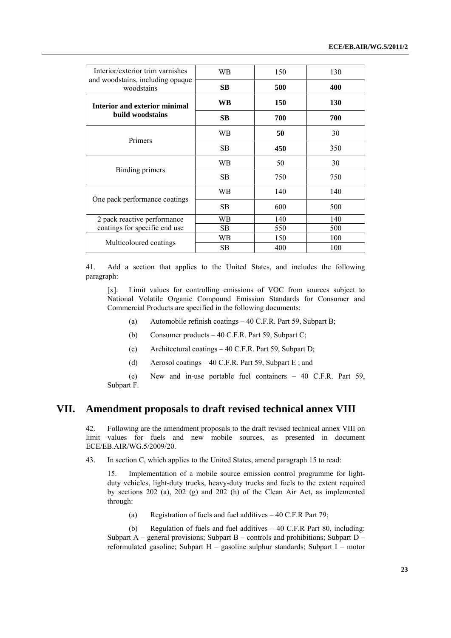| WB.       | 150 | 130 |
|-----------|-----|-----|
| SB.       | 500 | 400 |
| WB        | 150 | 130 |
| <b>SB</b> | 700 | 700 |
| WВ        | 50  | 30  |
| <b>SB</b> | 450 | 350 |
| WВ        | 50  | 30  |
| <b>SB</b> | 750 | 750 |
| WВ        | 140 | 140 |
| SB.       | 600 | 500 |
| WВ        | 140 | 140 |
| SB.       | 550 | 500 |
| WВ        | 150 | 100 |
| <b>SB</b> | 400 | 100 |
|           |     |     |

41. Add a section that applies to the United States, and includes the following paragraph:

[x]. Limit values for controlling emissions of VOC from sources subject to National Volatile Organic Compound Emission Standards for Consumer and Commercial Products are specified in the following documents:

- (a) Automobile refinish coatings 40 C.F.R. Part 59, Subpart B;
- (b) Consumer products 40 C.F.R. Part 59, Subpart C;
- (c) Architectural coatings 40 C.F.R. Part 59, Subpart D;
- (d) Aerosol coatings 40 C.F.R. Part 59, Subpart E; and

 (e) New and in-use portable fuel containers – 40 C.F.R. Part 59, Subpart F.

### **VII. Amendment proposals to draft revised technical annex VIII**

42. Following are the amendment proposals to the draft revised technical annex VIII on limit values for fuels and new mobile sources, as presented in document ECE/EB.AIR/WG.5/2009/20.

43. In section C, which applies to the United States, amend paragraph 15 to read:

15. Implementation of a mobile source emission control programme for lightduty vehicles, light-duty trucks, heavy-duty trucks and fuels to the extent required by sections 202 (a), 202 (g) and 202 (h) of the Clean Air Act, as implemented through:

(a) Registration of fuels and fuel additives – 40 C.F.R Part 79;

 (b) Regulation of fuels and fuel additives – 40 C.F.R Part 80, including: Subpart A – general provisions; Subpart B – controls and prohibitions; Subpart D – reformulated gasoline; Subpart H – gasoline sulphur standards; Subpart I – motor